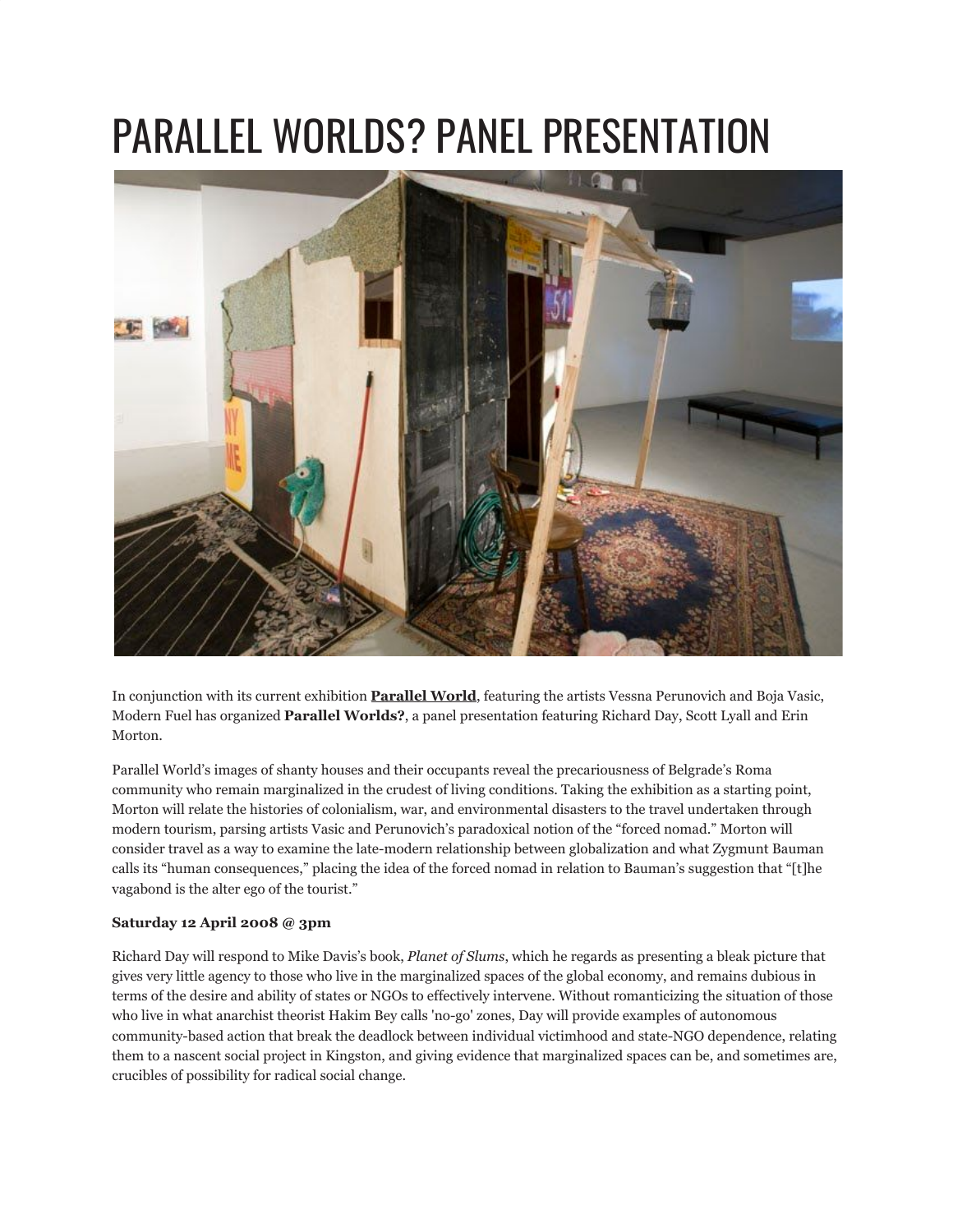## PARALLEL WORLDS? PANEL PRESENTATION



In conjunction with its current exhibition **[Parallel World](http://www.modernfuel.org/art/programming/event/127)**, featuring the artists Vessna Perunovich and Boja Vasic, Modern Fuel has organized **Parallel Worlds?**, a panel presentation featuring Richard Day, Scott Lyall and Erin Morton.

Parallel World's images of shanty houses and their occupants reveal the precariousness of Belgrade's Roma community who remain marginalized in the crudest of living conditions. Taking the exhibition as a starting point, Morton will relate the histories of colonialism, war, and environmental disasters to the travel undertaken through modern tourism, parsing artists Vasic and Perunovich's paradoxical notion of the "forced nomad." Morton will consider travel as a way to examine the late-modern relationship between globalization and what Zygmunt Bauman calls its "human consequences," placing the idea of the forced nomad in relation to Bauman's suggestion that "[t]he vagabond is the alter ego of the tourist."

## **Saturday 12 April 2008 @ 3pm**

Richard Day will respond to Mike Davis's book, *Planet of Slums*, which he regards as presenting a bleak picture that gives very little agency to those who live in the marginalized spaces of the global economy, and remains dubious in terms of the desire and ability of states or NGOs to effectively intervene. Without romanticizing the situation of those who live in what anarchist theorist Hakim Bey calls 'no-go' zones, Day will provide examples of autonomous community-based action that break the deadlock between individual victimhood and state-NGO dependence, relating them to a nascent social project in Kingston, and giving evidence that marginalized spaces can be, and sometimes are, crucibles of possibility for radical social change.